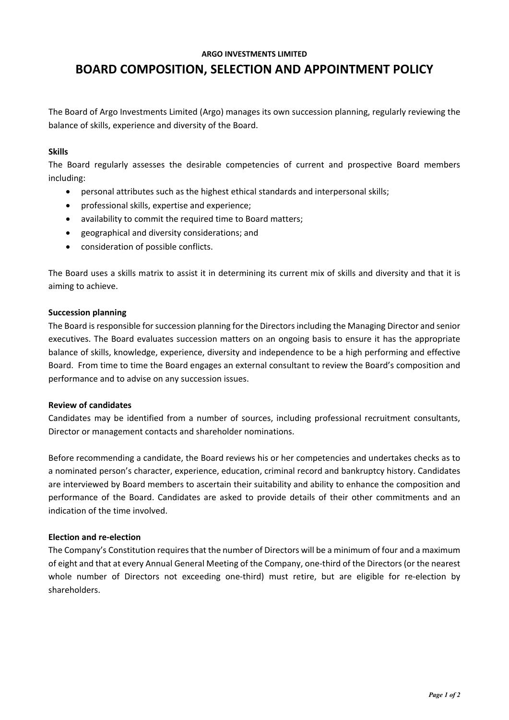### **ARGO INVESTMENTS LIMITED**

# **BOARD COMPOSITION, SELECTION AND APPOINTMENT POLICY**

The Board of Argo Investments Limited (Argo) manages its own succession planning, regularly reviewing the balance of skills, experience and diversity of the Board.

# **Skills**

The Board regularly assesses the desirable competencies of current and prospective Board members including:

- personal attributes such as the highest ethical standards and interpersonal skills;
- professional skills, expertise and experience;
- availability to commit the required time to Board matters;
- geographical and diversity considerations; and
- consideration of possible conflicts.

The Board uses a skills matrix to assist it in determining its current mix of skills and diversity and that it is aiming to achieve.

## **Succession planning**

The Board is responsible for succession planning for the Directors including the Managing Director and senior executives. The Board evaluates succession matters on an ongoing basis to ensure it has the appropriate balance of skills, knowledge, experience, diversity and independence to be a high performing and effective Board. From time to time the Board engages an external consultant to review the Board's composition and performance and to advise on any succession issues.

### **Review of candidates**

Candidates may be identified from a number of sources, including professional recruitment consultants, Director or management contacts and shareholder nominations.

Before recommending a candidate, the Board reviews his or her competencies and undertakes checks as to a nominated person's character, experience, education, criminal record and bankruptcy history. Candidates are interviewed by Board members to ascertain their suitability and ability to enhance the composition and performance of the Board. Candidates are asked to provide details of their other commitments and an indication of the time involved.

# **Election and re-election**

The Company's Constitution requires that the number of Directors will be a minimum of four and a maximum of eight and that at every Annual General Meeting of the Company, one-third of the Directors (or the nearest whole number of Directors not exceeding one-third) must retire, but are eligible for re-election by shareholders.